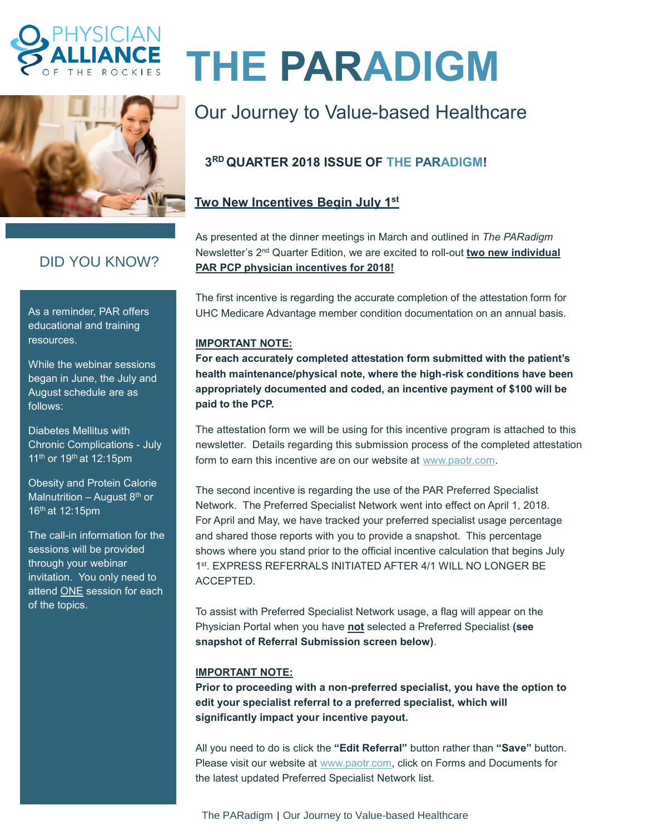



## DID YOU KNOW?

As a reminder, PAR offers educational and training resources.

While the webinar sessions began in June, the July and August schedule are as follows:

Diabetes Mellitus with Chronic Complications - July 11<sup>th</sup> or 19<sup>th</sup> at 12:15pm

Obesity and Protein Calorie Malnutrition – August  $8<sup>th</sup>$  or 16th at 12:15pm

The call-in information for the sessions will be provided through your webinar invitation. You only need to attend **ONE** session for each of the topics.

# **THE PARADIGM**

## Our Journey to Value-based Healthcare

### **3 RD QUARTER 2018 ISSUE OF THE PARADIGM!**

#### **Two New Incentives Begin July 1st**

As presented at the dinner meetings in March and outlined in *The PARadigm* Newsletter's 2<sup>nd</sup> Quarter Edition, we are excited to roll-out *two new individual* **PAR PCP physician incentives for 2018!**

The first incentive is regarding the accurate completion of the attestation form for UHC Medicare Advantage member condition documentation on an annual basis.

#### **IMPORTANT NOTE:**

**For each accurately completed attestation form submitted with the patient's health maintenance/physical note, where the high-risk conditions have been appropriately documented and coded, an incentive payment of \$100 will be paid to the PCP.**

The attestation form we will be using for this incentive program is attached to this newsletter. Details regarding this submission process of the completed attestation form to earn this incentive are on our website at [www.paotr.com.](http://www.paotr.com/)

The second incentive is regarding the use of the PAR Preferred Specialist Network. The Preferred Specialist Network went into effect on April 1, 2018. For April and May, we have tracked your preferred specialist usage percentage and shared those reports with you to provide a snapshot. This percentage shows where you stand prior to the official incentive calculation that begins July 1 st . EXPRESS REFERRALS INITIATED AFTER 4/1 WILL NO LONGER BE ACCEPTED.

To assist with Preferred Specialist Network usage, a flag will appear on the Physician Portal when you have **not** selected a Preferred Specialist **(see snapshot of Referral Submission screen below)**.

#### **IMPORTANT NOTE:**

**Prior to proceeding with a non-preferred specialist, you have the option to edit your specialist referral to a preferred specialist, which will significantly impact your incentive payout.**

All you need to do is click the **"Edit Referral"** button rather than **"Save"** button. Please visit our website at [www.paotr.com,](http://www.paotr.com/) click on Forms and Documents for the latest updated Preferred Specialist Network list.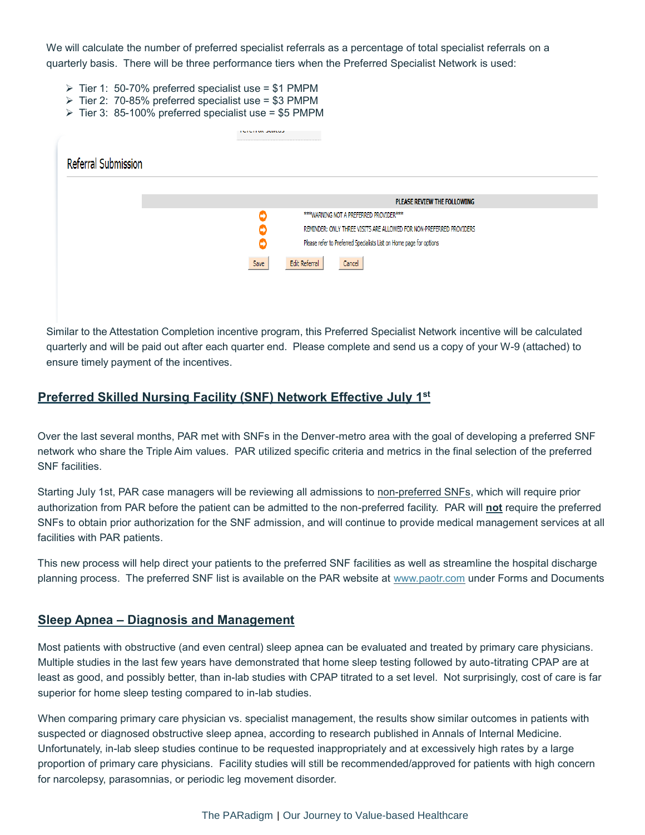We will calculate the number of preferred specialist referrals as a percentage of total specialist referrals on a quarterly basis. There will be three performance tiers when the Preferred Specialist Network is used:

- $\triangleright$  Tier 1: 50-70% preferred specialist use = \$1 PMPM
- $\triangleright$  Tier 2: 70-85% preferred specialist use = \$3 PMPM
- $\triangleright$  Tier 3: 85-100% preferred specialist use = \$5 PMPM

|                            | TUTUTTUL JURUAJI                                                         |
|----------------------------|--------------------------------------------------------------------------|
| <b>Referral Submission</b> |                                                                          |
|                            |                                                                          |
|                            | PLEASE REVIEW THE FOLLOWING                                              |
|                            | *** WARNING NOT A PREFERRED PROVIDER***<br>o                             |
|                            | REMINDER: ONLY THREE VISITS ARE ALLOWED FOR NON-PREFERRED PROVIDERS<br>o |
|                            | Please refer to Preferred Specialists List on Home page for options<br>O |
|                            | Edit Referral<br>Save<br>Cancel                                          |
|                            |                                                                          |

Similar to the Attestation Completion incentive program, this Preferred Specialist Network incentive will be calculated quarterly and will be paid out after each quarter end. Please complete and send us a copy of your W-9 (attached) to ensure timely payment of the incentives.

#### **Preferred Skilled Nursing Facility (SNF) Network Effective July 1st**

Over the last several months, PAR met with SNFs in the Denver-metro area with the goal of developing a preferred SNF network who share the Triple Aim values. PAR utilized specific criteria and metrics in the final selection of the preferred SNF facilities.

Starting July 1st, PAR case managers will be reviewing all admissions to non-preferred SNFs, which will require prior authorization from PAR before the patient can be admitted to the non-preferred facility. PAR will **not** require the preferred SNFs to obtain prior authorization for the SNF admission, and will continue to provide medical management services at all facilities with PAR patients.

This new process will help direct your patients to the preferred SNF facilities as well as streamline the hospital discharge planning process. The preferred SNF list is available on the PAR website at [www.paotr.com](http://www.paotr.com/) under Forms and Documents

#### **Sleep Apnea – Diagnosis and Management**

Most patients with obstructive (and even central) sleep apnea can be evaluated and treated by primary care physicians. Multiple studies in the last few years have demonstrated that home sleep testing followed by auto-titrating CPAP are at least as good, and possibly better, than in-lab studies with CPAP titrated to a set level. Not surprisingly, cost of care is far superior for home sleep testing compared to in-lab studies.

When comparing primary care physician vs. specialist management, the results show similar outcomes in patients with suspected or diagnosed obstructive sleep apnea, according to research published in Annals of Internal Medicine. Unfortunately, in-lab sleep studies continue to be requested inappropriately and at excessively high rates by a large proportion of primary care physicians. Facility studies will still be recommended/approved for patients with high concern for narcolepsy, parasomnias, or periodic leg movement disorder.